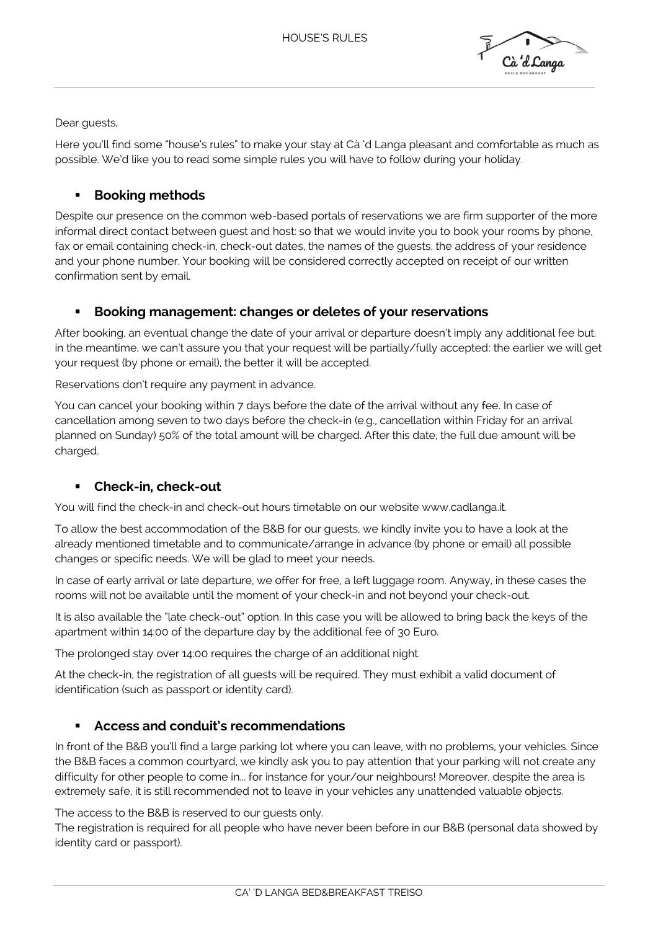

Dear guests,

Here you'll find some "house's rules" to make your stay at Cà 'd Langa pleasant and comfortable as much as possible. We'd like you to read some simple rules you will have to follow during your holiday.

# ▪ **Booking methods**

Despite our presence on the common web-based portals of reservations we are firm supporter of the more informal direct contact between guest and host: so that we would invite you to book your rooms by phone, fax or email containing check-in, check-out dates, the names of the guests, the address of your residence and your phone number. Your booking will be considered correctly accepted on receipt of our written confirmation sent by email.

#### **Booking management: changes or deletes of your reservations**

After booking, an eventual change the date of your arrival or departure doesn't imply any additional fee but, in the meantime, we can't assure you that your request will be partially/fully accepted: the earlier we will get your request (by phone or email), the better it will be accepted.

Reservations don't require any payment in advance.

You can cancel your booking within 7 days before the date of the arrival without any fee. In case of cancellation among seven to two days before the check-in (e.g., cancellation within Friday for an arrival planned on Sunday) 50% of the total amount will be charged. After this date, the full due amount will be charged.

# ▪ **Check-in, check-out**

You will find the check-in and check-out hours timetable on our website www.cadlanga.it.

To allow the best accommodation of the B&B for our guests, we kindly invite you to have a look at the already mentioned timetable and to communicate/arrange in advance (by phone or email) all possible changes or specific needs. We will be glad to meet your needs.

In case of early arrival or late departure, we offer for free, a left luggage room. Anyway, in these cases the rooms will not be available until the moment of your check-in and not beyond your check-out.

It is also available the "late check-out" option. In this case you will be allowed to bring back the keys of the apartment within 14:00 of the departure day by the additional fee of 30 Euro.

The prolonged stay over 14:00 requires the charge of an additional night.

At the check-in, the registration of all guests will be required. They must exhibit a valid document of identification (such as passport or identity card).

# Access and conduit's recommendations

In front of the B&B you'll find a large parking lot where you can leave, with no problems, your vehicles. Since the B&B faces a common courtyard, we kindly ask you to pay attention that your parking will not create any difficulty for other people to come in... for instance for your/our neighbours! Moreover, despite the area is extremely safe, it is still recommended not to leave in your vehicles any unattended valuable objects.

The access to the B&B is reserved to our guests only.

The registration is required for all people who have never been before in our B&B (personal data showed by identity card or passport).